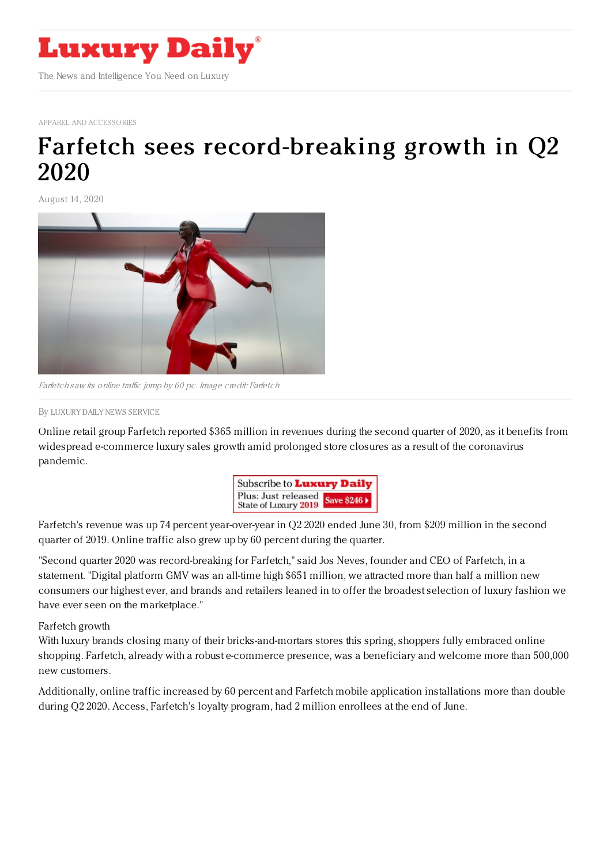

APPAREL AND [ACCESSORIES](https://www.luxurydaily.com/category/sectors/apparel-and-accessories/)

## Farfetch sees [record-breaking](https://www.luxurydaily.com/farfetch-sees-record-breaking-growth-in-q2-2020/) growth in Q2 2020

August 14, 2020



Farfetch saw its online traffic jump by 60 pc. Image credit: Farfetch

By LUXURY DAILY NEWS [SERVICE](file:///author/luxury-daily-news-service)

Online retail group Farfetch reported \$365 million in revenues during the second quarter of 2020, as it benefits from widespread e-commerce luxury sales growth amid prolonged store closures as a result of the coronavirus pandemic.



Farfetch's revenue was up 74 percent year-over-year in Q2 2020 ended June 30, from \$209 million in the second quarter of 2019. Online traffic also grew up by 60 percent during the quarter.

"Second quarter 2020 was record-breaking for Farfetch," said Jos Neves, founder and CEO of Farfetch, in a statement. "Digital platform GMV was an all-time high \$651 million, we attracted more than half a million new consumers our highest ever, and brands and retailers leaned in to offer the broadest selection of luxury fashion we have ever seen on the marketplace."

Farfetch growth

With luxury brands closing many of their bricks-and-mortars stores this spring, shoppers fully embraced online shopping. Farfetch, already with a robust e-commerce presence, was a beneficiary and welcome more than 500,000 new customers.

Additionally, online traffic increased by 60 percent and Farfetch mobile application installations more than double during Q2 2020. Access, Farfetch's loyalty program, had 2 million enrollees at the end of June.